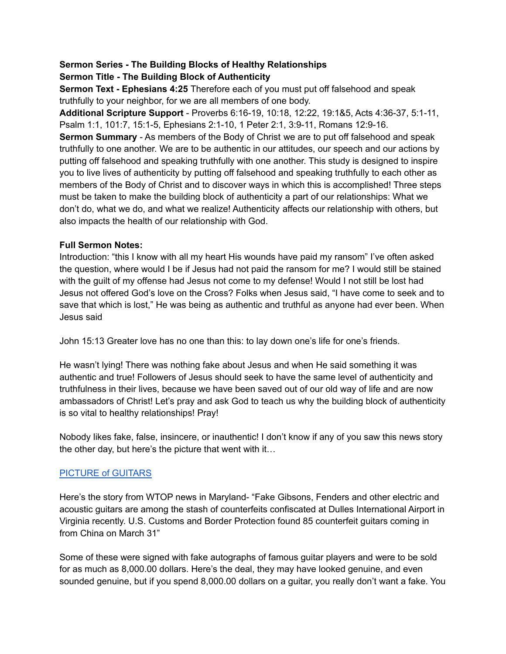#### **Sermon Series - The Building Blocks of Healthy Relationships Sermon Title - The Building Block of Authenticity**

**Sermon Text - Ephesians 4:25** Therefore each of you must put off falsehood and speak truthfully to your neighbor, for we are all members of one body.

**Additional Scripture Support** - Proverbs 6:16-19, 10:18, 12:22, 19:1&5, Acts 4:36-37, 5:1-11, Psalm 1:1, 101:7, 15:1-5, Ephesians 2:1-10, 1 Peter 2:1, 3:9-11, Romans 12:9-16. **Sermon Summary** - As members of the Body of Christ we are to put off falsehood and speak truthfully to one another. We are to be authentic in our attitudes, our speech and our actions by putting off falsehood and speaking truthfully with one another. This study is designed to inspire you to live lives of authenticity by putting off falsehood and speaking truthfully to each other as members of the Body of Christ and to discover ways in which this is accomplished! Three steps must be taken to make the building block of authenticity a part of our relationships: What we don't do, what we do, and what we realize! Authenticity affects our relationship with others, but also impacts the health of our relationship with God.

## **Full Sermon Notes:**

Introduction: "this I know with all my heart His wounds have paid my ransom" I've often asked the question, where would I be if Jesus had not paid the ransom for me? I would still be stained with the guilt of my offense had Jesus not come to my defense! Would I not still be lost had Jesus not offered God's love on the Cross? Folks when Jesus said, "I have come to seek and to save that which is lost," He was being as authentic and truthful as anyone had ever been. When Jesus said

John 15:13 Greater love has no one than this: to lay down one's life for one's friends.

He wasn't lying! There was nothing fake about Jesus and when He said something it was authentic and true! Followers of Jesus should seek to have the same level of authenticity and truthfulness in their lives, because we have been saved out of our old way of life and are now ambassadors of Christ! Let's pray and ask God to teach us why the building block of authenticity is so vital to healthy relationships! Pray!

Nobody likes fake, false, insincere, or inauthentic! I don't know if any of you saw this news story the other day, but here's the picture that went with it…

# [PICTURE](https://wtop.com/virginia/2021/06/sour-note-85-counterfeit-guitars-seized-during-customs-bust-at-dulles/) of GUITARS

Here's the story from WTOP news in Maryland- "Fake Gibsons, Fenders and other electric and acoustic guitars are among the stash of counterfeits confiscated at Dulles International Airport in Virginia recently. U.S. Customs and Border Protection found 85 counterfeit guitars coming in from China on March 31"

Some of these were signed with fake autographs of famous guitar players and were to be sold for as much as 8,000.00 dollars. Here's the deal, they may have looked genuine, and even sounded genuine, but if you spend 8,000.00 dollars on a guitar, you really don't want a fake. You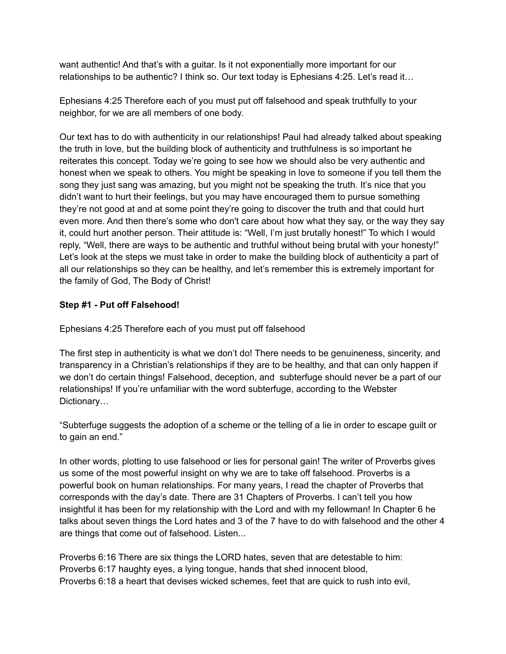want authentic! And that's with a guitar. Is it not exponentially more important for our relationships to be authentic? I think so. Our text today is Ephesians 4:25. Let's read it…

Ephesians 4:25 Therefore each of you must put off falsehood and speak truthfully to your neighbor, for we are all members of one body.

Our text has to do with authenticity in our relationships! Paul had already talked about speaking the truth in love, but the building block of authenticity and truthfulness is so important he reiterates this concept. Today we're going to see how we should also be very authentic and honest when we speak to others. You might be speaking in love to someone if you tell them the song they just sang was amazing, but you might not be speaking the truth. It's nice that you didn't want to hurt their feelings, but you may have encouraged them to pursue something they're not good at and at some point they're going to discover the truth and that could hurt even more. And then there's some who don't care about how what they say, or the way they say it, could hurt another person. Their attitude is: "Well, I'm just brutally honest!" To which I would reply, "Well, there are ways to be authentic and truthful without being brutal with your honesty!" Let's look at the steps we must take in order to make the building block of authenticity a part of all our relationships so they can be healthy, and let's remember this is extremely important for the family of God, The Body of Christ!

## **Step #1 - Put off Falsehood!**

Ephesians 4:25 Therefore each of you must put off falsehood

The first step in authenticity is what we don't do! There needs to be genuineness, sincerity, and transparency in a Christian's relationships if they are to be healthy, and that can only happen if we don't do certain things! Falsehood, deception, and subterfuge should never be a part of our relationships! If you're unfamiliar with the word subterfuge, according to the Webster Dictionary...

"Subterfuge suggests the adoption of a scheme or the telling of a lie in order to escape guilt or to gain an end."

In other words, plotting to use falsehood or lies for personal gain! The writer of Proverbs gives us some of the most powerful insight on why we are to take off falsehood. Proverbs is a powerful book on human relationships. For many years, I read the chapter of Proverbs that corresponds with the day's date. There are 31 Chapters of Proverbs. I can't tell you how insightful it has been for my relationship with the Lord and with my fellowman! In Chapter 6 he talks about seven things the Lord hates and 3 of the 7 have to do with falsehood and the other 4 are things that come out of falsehood. Listen...

Proverbs 6:16 There are six things the LORD hates, seven that are detestable to him: Proverbs 6:17 haughty eyes, a lying tongue, hands that shed innocent blood, Proverbs 6:18 a heart that devises wicked schemes, feet that are quick to rush into evil,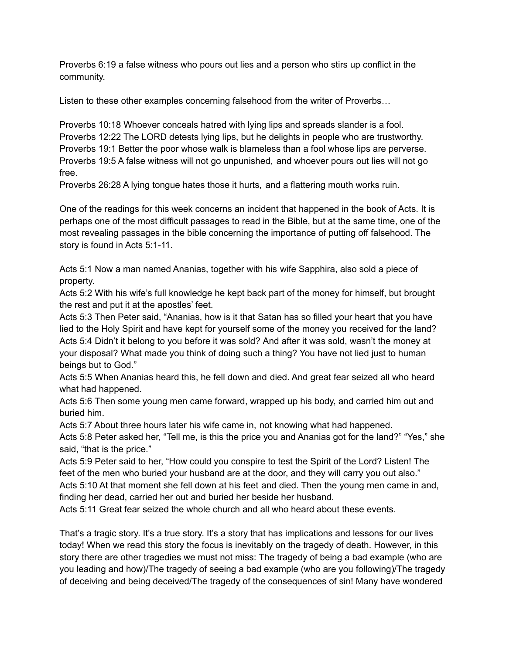Proverbs 6:19 a false witness who pours out lies and a person who stirs up conflict in the community.

Listen to these other examples concerning falsehood from the writer of Proverbs…

Proverbs 10:18 Whoever conceals hatred with lying lips and spreads slander is a fool. Proverbs 12:22 The LORD detests lying lips, but he delights in people who are trustworthy. Proverbs 19:1 Better the poor whose walk is blameless than a fool whose lips are perverse. Proverbs 19:5 A false witness will not go unpunished, and whoever pours out lies will not go free.

Proverbs 26:28 A lying tongue hates those it hurts, and a flattering mouth works ruin.

One of the readings for this week concerns an incident that happened in the book of Acts. It is perhaps one of the most difficult passages to read in the Bible, but at the same time, one of the most revealing passages in the bible concerning the importance of putting off falsehood. The story is found in Acts 5:1-11.

Acts 5:1 Now a man named Ananias, together with his wife Sapphira, also sold a piece of property.

Acts 5:2 With his wife's full knowledge he kept back part of the money for himself, but brought the rest and put it at the apostles' feet.

Acts 5:3 Then Peter said, "Ananias, how is it that Satan has so filled your heart that you have lied to the Holy Spirit and have kept for yourself some of the money you received for the land? Acts 5:4 Didn't it belong to you before it was sold? And after it was sold, wasn't the money at your disposal? What made you think of doing such a thing? You have not lied just to human beings but to God."

Acts 5:5 When Ananias heard this, he fell down and died. And great fear seized all who heard what had happened.

Acts 5:6 Then some young men came forward, wrapped up his body, and carried him out and buried him.

Acts 5:7 About three hours later his wife came in, not knowing what had happened.

Acts 5:8 Peter asked her, "Tell me, is this the price you and Ananias got for the land?" "Yes," she said, "that is the price."

Acts 5:9 Peter said to her, "How could you conspire to test the Spirit of the Lord? Listen! The feet of the men who buried your husband are at the door, and they will carry you out also."

Acts 5:10 At that moment she fell down at his feet and died. Then the young men came in and, finding her dead, carried her out and buried her beside her husband.

Acts 5:11 Great fear seized the whole church and all who heard about these events.

That's a tragic story. It's a true story. It's a story that has implications and lessons for our lives today! When we read this story the focus is inevitably on the tragedy of death. However, in this story there are other tragedies we must not miss: The tragedy of being a bad example (who are you leading and how)/The tragedy of seeing a bad example (who are you following)/The tragedy of deceiving and being deceived/The tragedy of the consequences of sin! Many have wondered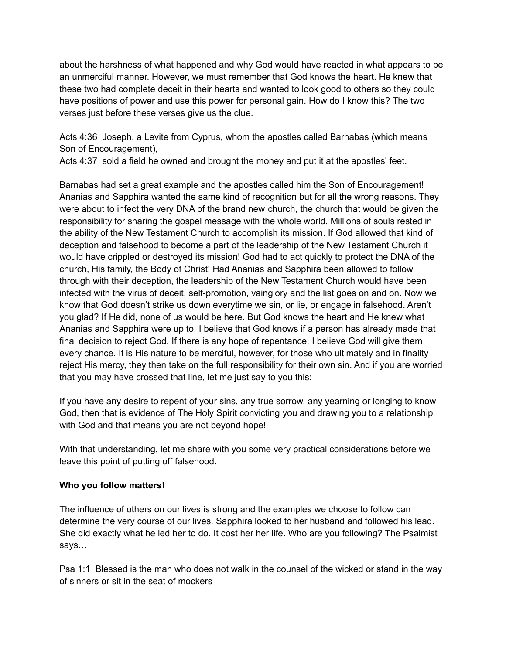about the harshness of what happened and why God would have reacted in what appears to be an unmerciful manner. However, we must remember that God knows the heart. He knew that these two had complete deceit in their hearts and wanted to look good to others so they could have positions of power and use this power for personal gain. How do I know this? The two verses just before these verses give us the clue.

Acts 4:36 Joseph, a Levite from Cyprus, whom the apostles called Barnabas (which means Son of Encouragement),

Acts 4:37 sold a field he owned and brought the money and put it at the apostles' feet.

Barnabas had set a great example and the apostles called him the Son of Encouragement! Ananias and Sapphira wanted the same kind of recognition but for all the wrong reasons. They were about to infect the very DNA of the brand new church, the church that would be given the responsibility for sharing the gospel message with the whole world. Millions of souls rested in the ability of the New Testament Church to accomplish its mission. If God allowed that kind of deception and falsehood to become a part of the leadership of the New Testament Church it would have crippled or destroyed its mission! God had to act quickly to protect the DNA of the church, His family, the Body of Christ! Had Ananias and Sapphira been allowed to follow through with their deception, the leadership of the New Testament Church would have been infected with the virus of deceit, self-promotion, vainglory and the list goes on and on. Now we know that God doesn't strike us down everytime we sin, or lie, or engage in falsehood. Aren't you glad? If He did, none of us would be here. But God knows the heart and He knew what Ananias and Sapphira were up to. I believe that God knows if a person has already made that final decision to reject God. If there is any hope of repentance, I believe God will give them every chance. It is His nature to be merciful, however, for those who ultimately and in finality reject His mercy, they then take on the full responsibility for their own sin. And if you are worried that you may have crossed that line, let me just say to you this:

If you have any desire to repent of your sins, any true sorrow, any yearning or longing to know God, then that is evidence of The Holy Spirit convicting you and drawing you to a relationship with God and that means you are not beyond hope!

With that understanding, let me share with you some very practical considerations before we leave this point of putting off falsehood.

## **Who you follow matters!**

The influence of others on our lives is strong and the examples we choose to follow can determine the very course of our lives. Sapphira looked to her husband and followed his lead. She did exactly what he led her to do. It cost her her life. Who are you following? The Psalmist says…

Psa 1:1 Blessed is the man who does not walk in the counsel of the wicked or stand in the way of sinners or sit in the seat of mockers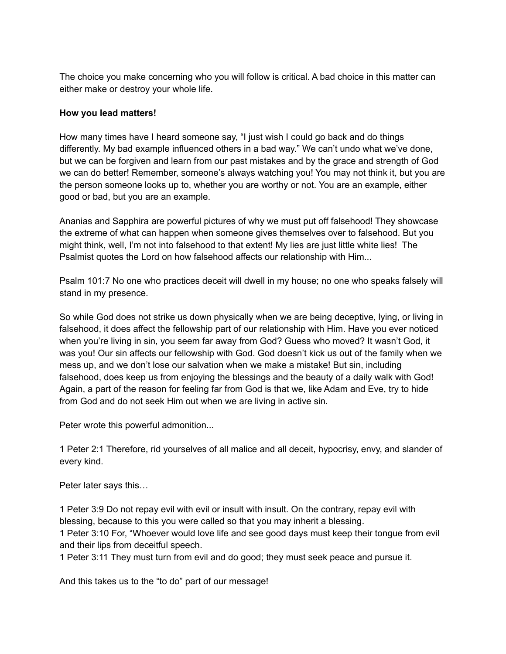The choice you make concerning who you will follow is critical. A bad choice in this matter can either make or destroy your whole life.

#### **How you lead matters!**

How many times have I heard someone say, "I just wish I could go back and do things differently. My bad example influenced others in a bad way." We can't undo what we've done, but we can be forgiven and learn from our past mistakes and by the grace and strength of God we can do better! Remember, someone's always watching you! You may not think it, but you are the person someone looks up to, whether you are worthy or not. You are an example, either good or bad, but you are an example.

Ananias and Sapphira are powerful pictures of why we must put off falsehood! They showcase the extreme of what can happen when someone gives themselves over to falsehood. But you might think, well, I'm not into falsehood to that extent! My lies are just little white lies! The Psalmist quotes the Lord on how falsehood affects our relationship with Him...

Psalm 101:7 No one who practices deceit will dwell in my house; no one who speaks falsely will stand in my presence.

So while God does not strike us down physically when we are being deceptive, lying, or living in falsehood, it does affect the fellowship part of our relationship with Him. Have you ever noticed when you're living in sin, you seem far away from God? Guess who moved? It wasn't God, it was you! Our sin affects our fellowship with God. God doesn't kick us out of the family when we mess up, and we don't lose our salvation when we make a mistake! But sin, including falsehood, does keep us from enjoying the blessings and the beauty of a daily walk with God! Again, a part of the reason for feeling far from God is that we, like Adam and Eve, try to hide from God and do not seek Him out when we are living in active sin.

Peter wrote this powerful admonition...

1 Peter 2:1 Therefore, rid yourselves of all malice and all deceit, hypocrisy, envy, and slander of every kind.

Peter later says this…

1 Peter 3:9 Do not repay evil with evil or insult with insult. On the contrary, repay evil with blessing, because to this you were called so that you may inherit a blessing.

1 Peter 3:10 For, "Whoever would love life and see good days must keep their tongue from evil and their lips from deceitful speech.

1 Peter 3:11 They must turn from evil and do good; they must seek peace and pursue it.

And this takes us to the "to do" part of our message!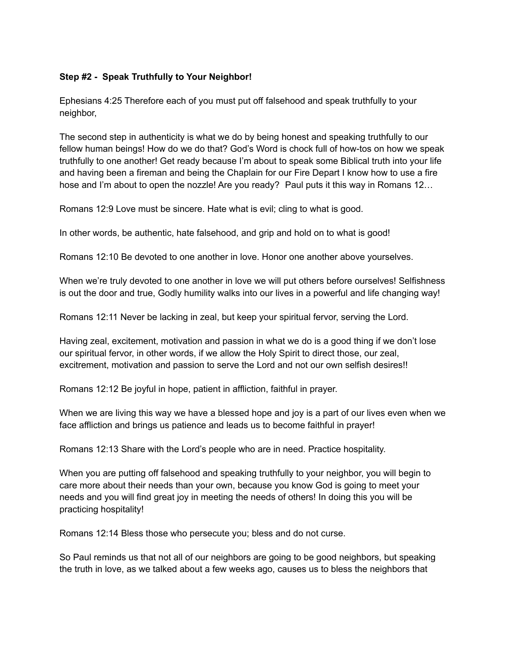## **Step #2 - Speak Truthfully to Your Neighbor!**

Ephesians 4:25 Therefore each of you must put off falsehood and speak truthfully to your neighbor,

The second step in authenticity is what we do by being honest and speaking truthfully to our fellow human beings! How do we do that? God's Word is chock full of how-tos on how we speak truthfully to one another! Get ready because I'm about to speak some Biblical truth into your life and having been a fireman and being the Chaplain for our Fire Depart I know how to use a fire hose and I'm about to open the nozzle! Are you ready? Paul puts it this way in Romans 12...

Romans 12:9 Love must be sincere. Hate what is evil; cling to what is good.

In other words, be authentic, hate falsehood, and grip and hold on to what is good!

Romans 12:10 Be devoted to one another in love. Honor one another above yourselves.

When we're truly devoted to one another in love we will put others before ourselves! Selfishness is out the door and true, Godly humility walks into our lives in a powerful and life changing way!

Romans 12:11 Never be lacking in zeal, but keep your spiritual fervor, serving the Lord.

Having zeal, excitement, motivation and passion in what we do is a good thing if we don't lose our spiritual fervor, in other words, if we allow the Holy Spirit to direct those, our zeal, excitrement, motivation and passion to serve the Lord and not our own selfish desires!!

Romans 12:12 Be joyful in hope, patient in affliction, faithful in prayer.

When we are living this way we have a blessed hope and joy is a part of our lives even when we face affliction and brings us patience and leads us to become faithful in prayer!

Romans 12:13 Share with the Lord's people who are in need. Practice hospitality.

When you are putting off falsehood and speaking truthfully to your neighbor, you will begin to care more about their needs than your own, because you know God is going to meet your needs and you will find great joy in meeting the needs of others! In doing this you will be practicing hospitality!

Romans 12:14 Bless those who persecute you; bless and do not curse.

So Paul reminds us that not all of our neighbors are going to be good neighbors, but speaking the truth in love, as we talked about a few weeks ago, causes us to bless the neighbors that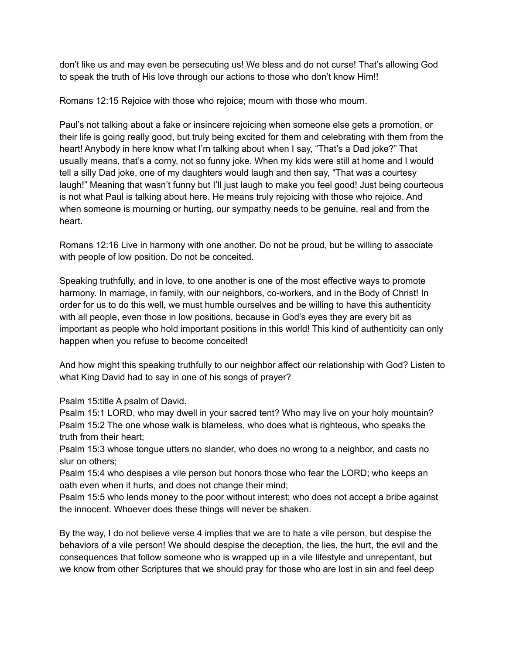don't like us and may even be persecuting us! We bless and do not curse! That's allowing God to speak the truth of His love through our actions to those who don't know Him!!

Romans 12:15 Rejoice with those who rejoice; mourn with those who mourn.

Paul's not talking about a fake or insincere rejoicing when someone else gets a promotion, or their life is going really good, but truly being excited for them and celebrating with them from the heart! Anybody in here know what I'm talking about when I say, "That's a Dad joke?" That usually means, that's a corny, not so funny joke. When my kids were still at home and I would tell a silly Dad joke, one of my daughters would laugh and then say, "That was a courtesy laugh!" Meaning that wasn't funny but I'll just laugh to make you feel good! Just being courteous is not what Paul is talking about here. He means truly rejoicing with those who rejoice. And when someone is mourning or hurting, our sympathy needs to be genuine, real and from the heart.

Romans 12:16 Live in harmony with one another. Do not be proud, but be willing to associate with people of low position. Do not be conceited.

Speaking truthfully, and in love, to one another is one of the most effective ways to promote harmony. In marriage, in family, with our neighbors, co-workers, and in the Body of Christ! In order for us to do this well, we must humble ourselves and be willing to have this authenticity with all people, even those in low positions, because in God's eyes they are every bit as important as people who hold important positions in this world! This kind of authenticity can only happen when you refuse to become conceited!

And how might this speaking truthfully to our neighbor affect our relationship with God? Listen to what King David had to say in one of his songs of prayer?

Psalm 15:title A psalm of David.

Psalm 15:1 LORD, who may dwell in your sacred tent? Who may live on your holy mountain? Psalm 15:2 The one whose walk is blameless, who does what is righteous, who speaks the truth from their heart;

Psalm 15:3 whose tongue utters no slander, who does no wrong to a neighbor, and casts no slur on others;

Psalm 15:4 who despises a vile person but honors those who fear the LORD; who keeps an oath even when it hurts, and does not change their mind;

Psalm 15:5 who lends money to the poor without interest; who does not accept a bribe against the innocent. Whoever does these things will never be shaken.

By the way, I do not believe verse 4 implies that we are to hate a vile person, but despise the behaviors of a vile person! We should despise the deception, the lies, the hurt, the evil and the consequences that follow someone who is wrapped up in a vile lifestyle and unrepentant, but we know from other Scriptures that we should pray for those who are lost in sin and feel deep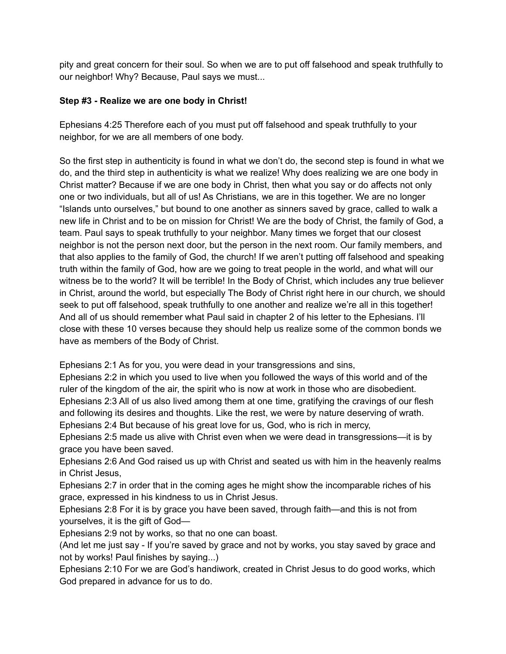pity and great concern for their soul. So when we are to put off falsehood and speak truthfully to our neighbor! Why? Because, Paul says we must...

#### **Step #3 - Realize we are one body in Christ!**

Ephesians 4:25 Therefore each of you must put off falsehood and speak truthfully to your neighbor, for we are all members of one body.

So the first step in authenticity is found in what we don't do, the second step is found in what we do, and the third step in authenticity is what we realize! Why does realizing we are one body in Christ matter? Because if we are one body in Christ, then what you say or do affects not only one or two individuals, but all of us! As Christians, we are in this together. We are no longer "Islands unto ourselves," but bound to one another as sinners saved by grace, called to walk a new life in Christ and to be on mission for Christ! We are the body of Christ, the family of God, a team. Paul says to speak truthfully to your neighbor. Many times we forget that our closest neighbor is not the person next door, but the person in the next room. Our family members, and that also applies to the family of God, the church! If we aren't putting off falsehood and speaking truth within the family of God, how are we going to treat people in the world, and what will our witness be to the world? It will be terrible! In the Body of Christ, which includes any true believer in Christ, around the world, but especially The Body of Christ right here in our church, we should seek to put off falsehood, speak truthfully to one another and realize we're all in this together! And all of us should remember what Paul said in chapter 2 of his letter to the Ephesians. I'll close with these 10 verses because they should help us realize some of the common bonds we have as members of the Body of Christ.

Ephesians 2:1 As for you, you were dead in your transgressions and sins,

Ephesians 2:2 in which you used to live when you followed the ways of this world and of the ruler of the kingdom of the air, the spirit who is now at work in those who are disobedient. Ephesians 2:3 All of us also lived among them at one time, gratifying the cravings of our flesh and following its desires and thoughts. Like the rest, we were by nature deserving of wrath. Ephesians 2:4 But because of his great love for us, God, who is rich in mercy,

Ephesians 2:5 made us alive with Christ even when we were dead in transgressions—it is by grace you have been saved.

Ephesians 2:6 And God raised us up with Christ and seated us with him in the heavenly realms in Christ Jesus,

Ephesians 2:7 in order that in the coming ages he might show the incomparable riches of his grace, expressed in his kindness to us in Christ Jesus.

Ephesians 2:8 For it is by grace you have been saved, through faith—and this is not from yourselves, it is the gift of God—

Ephesians 2:9 not by works, so that no one can boast.

(And let me just say - If you're saved by grace and not by works, you stay saved by grace and not by works! Paul finishes by saying...)

Ephesians 2:10 For we are God's handiwork, created in Christ Jesus to do good works, which God prepared in advance for us to do.